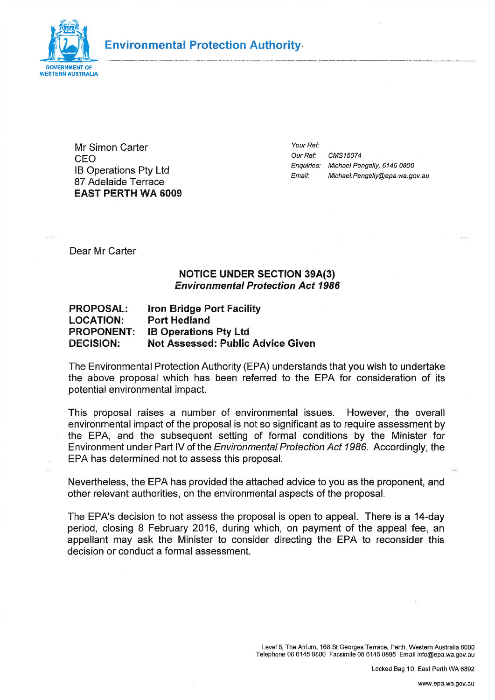

# **Environmental Protection Authority**

Mr Simon Carter CEO IB Operations Pty Ltd 87 Adelaide Terrace EAST PERTH WA 6000 *Your Ref: OurRef: CMS15074 Enquiries: Michael Pengeliy, 6145 0800 Email: Michael. Pengelly@epa. wa. gov.au* 

Dear Mr Carter.

#### NOTICE UNDER SECTION 39A(3) *Environmental Protection Act 1986*

#### PROPOSAL: Iron Bridge Port Facility LOCATION: Port Hedland PROPONENT: IB Operations Pty Ltd DECISION: Not Assessed: Public Advice Given

The Environmental Protection Authority (EPA) understands that you wish to undertake the above proposal which has been referred to the EPA for consideration of its potential environmental impact.

This proposal raises a number of environmental issues. However, the overall environmental impact of the proposal is not so significant as to require assessment by the EPA, and the subsequent setting of formal conditions by the Minister for Environment under Part IV of the *Environmental Protection Act 1986.* Accordingly, the EPA has determined not to assess this proposal.

Nevertheless, the EPA has provided the attached advice to you as the proponent, and other relevant authorities, on the environmental aspects of the proposal.

The EPA's decision to not assess the proposal is open to appeal. There is a 14-day period, closing 8 February 2016, during which, on payment of the appeal fee, an appellant may ask the Minister to consider directing the EPA to reconsider this decision or conduct a formal assessment.

> Level 8, The Atrium, 168 St Georges Terrace, Perth, Western Australia 6000 Telephone 08 6145 0800 Facsimile 08 6145 0895 Email info@epa.wa.gov.au

> > Locked Bag 10, East Perth WA 6892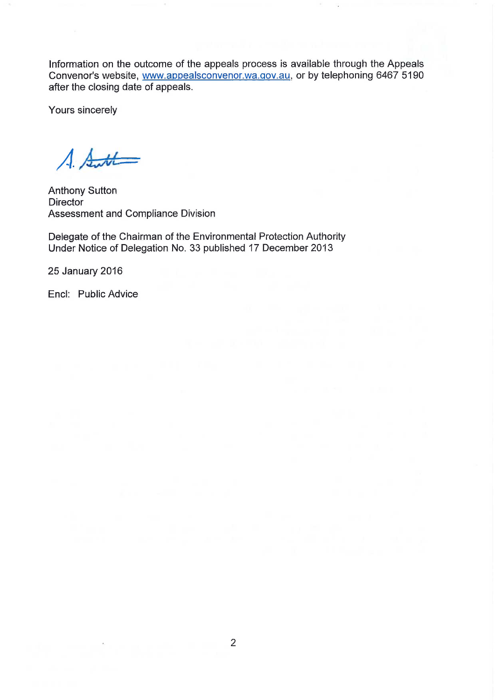Information on the outcome of the appeals process is available through the Appeals Convenor's website, [www.appealsconvenor.wa.qov.au,](http://www.appealsconvenor.wa.qov.au) or by telephoning 6467 5190 after the closing date of appeals.

Yours sincerely

 $A.$  Sutt

Anthony Sutton **Director** Assessment and Compliance Division

Delegate of the Chairman of the Environmental Protection Authority Under Notice of Delegation No. 33 published 17 December 2013

25 January 2016

Encl: Public Advice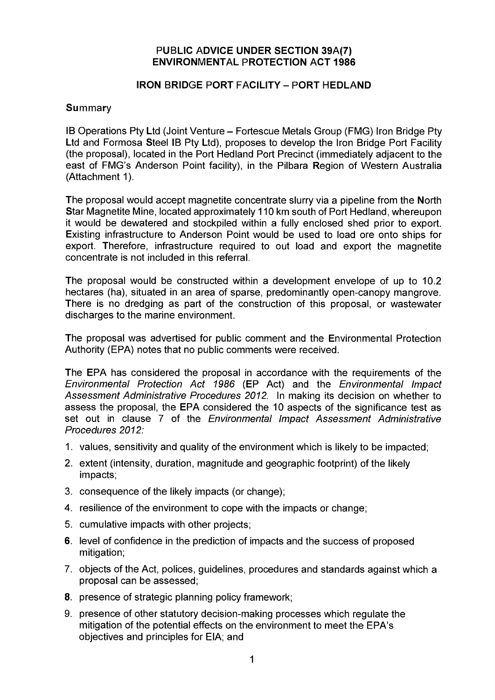#### **PUBLIC ADVICE UNDER SECTION 39A(7) ENVIRONMENTAL PROTECTION ACT 1986**

### **IRON BRIDGE PORT FACILITY - PORT HEDLAND**

#### **Summary**

IB Operations Pty Ltd (Joint Venture - Fortescue Metals Group (FMG) Iron Bridge Pty Ltd and Formosa Steel IB Pty Ltd), proposes to develop the Iron Bridge Port Facility (the proposal), located in the Port Hedland Port Precinct (immediately adjacent to the east of FMG's Anderson Point facility), in the Pilbara Region of Western Australia (Attachment 1).

The proposal would accept magnetite concentrate slurry via a pipeline from the North Star Magnetite Mine, located approximately 110 km south of Port Hedland, whereupon it would be dewatered and stockpiled within a fully enclosed shed prior to export. Existing infrastructure to Anderson Point would be used to load ore onto ships for export. Therefore, infrastructure required to out load and export the magnetite concentrate is not included in this referral.

The proposal would be constructed within a development envelope of up to 10.2 hectares (ha), situated in an area of sparse, predominantly open-canopy mangrove. There is no dredging as part of the construction of this proposal, or wastewater discharges to the marine environment.

The proposal was advertised for public comment and the Environmental Protection Authority (EPA) notes that no public comments were received.

The EPA has considered the proposal in accordance with the requirements of the *Environmental Protection Act 1986* (EP Act) and the *Environmental Impact Assessment Administrative Procedures 2012.* In making its decision on whether to assess the proposal, the EPA considered the 10 aspects of the significance test as set out in clause 7 of the *Environmental Impact Assessment Administrative Procedures 2012:* 

- 1. values, sensitivity and quality of the environment which is likely to be impacted;
- 2. extent (intensity, duration, magnitude and geographic footprint) of the likely impacts;
- 3. consequence of the likely impacts (or change);
- 4. resilience of the environment to cope with the impacts or change;
- 5. cumulative impacts with other projects;
- 6. level of confidence in the prediction of impacts and the success of proposed mitigation;
- 7. objects of the Act, polices, guidelines, procedures and standards against which a proposal can be assessed;
- 8. presence of strategic planning policy framework;
- 9. presence of other statutory decision-making processes which regulate the mitigation of the potential effects on the environment to meet the EPA's objectives and principles for EIA; and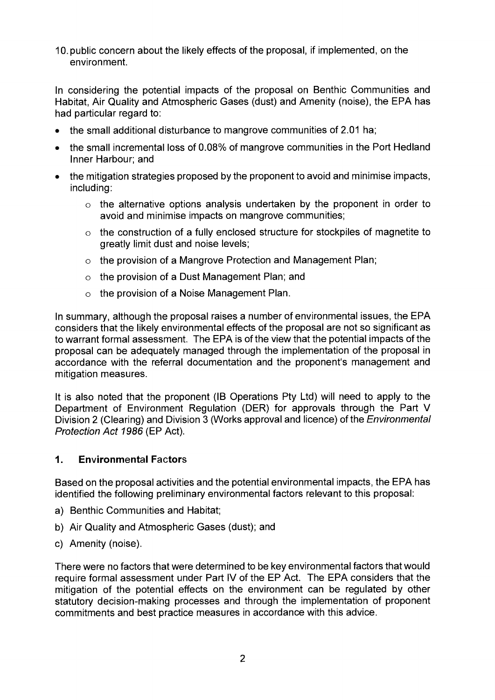10. public concern about the likely effects of the proposal, if implemented, on the environment.

In considering the potential impacts of the proposal on Benthic Communities and Habitat, Air Quality and Atmospheric Gases (dust) and Amenity (noise), the EPA has had particular regard to:

- the small additional disturbance to mangrove communities of 2.01 ha;
- the small incremental loss of 0.08% of mangrove communities in the Port Hedland Inner Harbour; and
- the mitigation strategies proposed by the proponent to avoid and minimise impacts, including:
	- **o** the alternative options analysis undertaken by the proponent in order to avoid and minimise impacts on mangrove communities;
	- **o** the construction of a fully enclosed structure for stockpiles of magnetite to greatly limit dust and noise levels;
	- **o** the provision of a Mangrove Protection and Management Plan;
	- **o** the provision of a Dust Management Plan; and
	- **o** the provision of a Noise Management Plan.

In summary, although the proposal raises a number of environmental issues, the EPA considers that the likely environmental effects of the proposal are not so significant as to warrant formal assessment. The EPA is of the view that the potential impacts of the proposal can be adequately managed through the implementation of the proposal in accordance with the referral documentation and the proponent's management and mitigation measures.

It is also noted that the proponent (IB Operations Pty Ltd) will need to apply to the Department of Environment Regulation (DER) for approvals through the Part V Division 2 (Clearing) and Division 3 (Works approval and licence) of the *Environmental Protection Act 1986* (EP Act).

### **1. Environmental Factors**

Based on the proposal activities and the potential environmental impacts, the EPA has identified the following preliminary environmental factors relevant to this proposal:

- a) Benthic Communities and Habitat;
- b) Air Quality and Atmospheric Gases (dust); and
- c) Amenity (noise).

There were no factors that were determined to be key environmental factors that would require formal assessment under Part IV of the EP Act. The EPA considers that the mitigation of the potential effects on the environment can be regulated by other statutory decision-making processes and through the implementation of proponent commitments and best practice measures in accordance with this advice.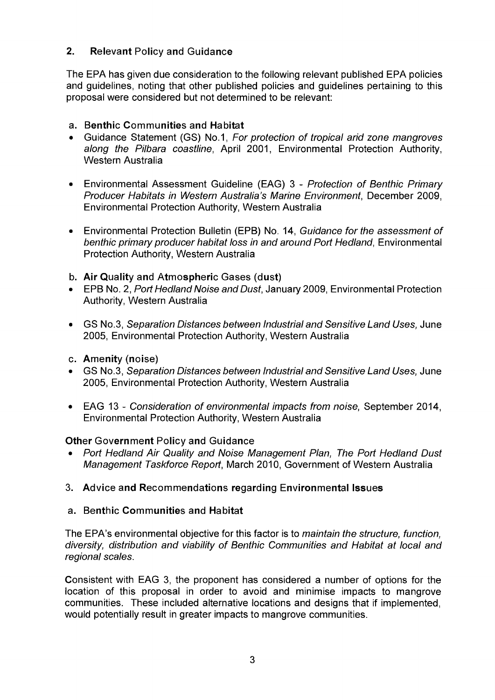### **2. Relevant Policy and Guidance**

The EPA has given due consideration to the following relevant published EPA policies and guidelines, noting that other published policies and guidelines pertaining to this proposal were considered but not determined to be relevant:

## **a. Benthic Communities and Habitat**

- Guidance Statement (GS) No.1, *For protection of tropical arid zone mangroves along the Pilbara coastline*, April 2001, Environmental Protection Authority, Western Australia
- Environmental Assessment Guideline (EAG) 3 *Protection of Benthic Primary Producer Habitats in Western Australia's Marine Environment,* December 2009, Environmental Protection Authority, Western Australia
- Environmental Protection Bulletin (EPB) No. 14, *Guidance for the assessment of*  **benthic primary producer habitat loss in and around Port Hedland, Environmental** Protection Authority, Western Australia
- **b. Air Quality and Atmospheric Gases (dust)**
- EPB No. 2, *Port Hedland Noise and Dust,* January 2009, Environmental Protection Authority, Western Australia
- GS No.3, *Separation Distances between Industrial and Sensitive Land Uses,* June 2005, Environmental Protection Authority, Western Australia
- **c. Amenity (noise)**
- GS No.3, *Separation Distances between Industrial and Sensitive Land Uses,* June 2005, Environmental Protection Authority, Western Australia
- EAG 13 *Consideration of environmental impacts from noise,* September 2014, Environmental Protection Authority, Western Australia

### **Other Government Policy and Guidance**

- *Port Hedland Air Quality and Noise Management Plan, The Port Hedland Dust Management Taskforce Report,* March 2010, Government of Western Australia
- **3. Advice and Recommendations regarding Environmental Issues**

### **a. Benthic Communities and Habitat**

The EPA's environmental objective for this factor is to *maintain the structure, function, diversity, distribution and viability of Benthic Communities and Habitat at local and regional scales.* 

Consistent with EAG 3, the proponent has considered a number of options for the location of this proposal in order to avoid and minimise impacts to mangrove communities. These included alternative locations and designs that if implemented, would potentially result in greater impacts to mangrove communities.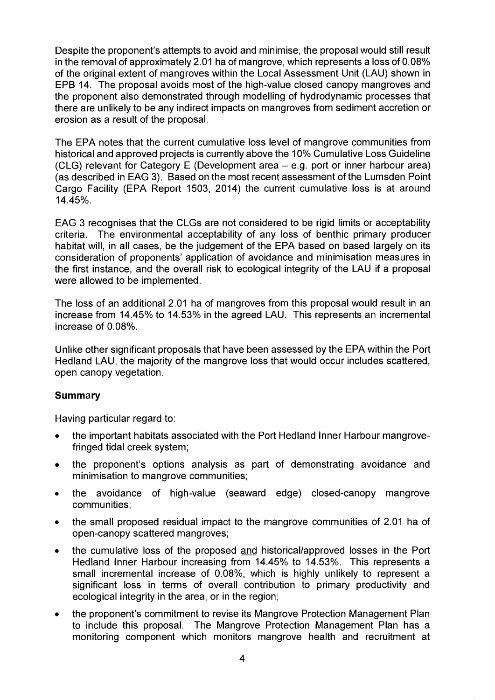Despite the proponent's attempts to avoid and minimise, the proposal would still result in the removal of approximately 2.01 ha of mangrove, which represents a loss of 0.08% of the original extent of mangroves within the Local Assessment Unit (LAU) shown in EPB 14. The proposal avoids most of the high-value closed canopy mangroves and the proponent also demonstrated through modelling of hydrodynamic processes that there are unlikely to be any indirect impacts on mangroves from sediment accretion or erosion as a result of the proposal.

The EPA notes that the current cumulative loss level of mangrove communities from historical and approved projects is currently above the 10% Cumulative Loss Guideline (CLG) relevant for Category E (Development area  $-$  e.g. port or inner harbour area) (as described in EAG 3). Based on the most recent assessment of the Lumsden Point Cargo Facility (EPA Report 1503, 2014) the current cumulative loss is at around 14.45%.

EAG 3 recognises that the CLGs are not considered to be rigid limits or acceptability criteria. The environmental acceptability of any loss of benthic primary producer habitat will, in all cases, be the judgement of the EPA based on based largely on its consideration of proponents' application of avoidance and minimisation measures in the first instance, and the overall risk to ecological integrity of the LAU if a proposal were allowed to be implemented.

The loss of an additional 2.01 ha of mangroves from this proposal would result in an increase from 14.45% to 14.53% in the agreed LAU. This represents an incremental increase of 0.08%.

Unlike other significant proposals that have been assessed by the EPA within the Port Hedland LAU, the majority of the mangrove loss that would occur includes scattered, open canopy vegetation.

### **Summary**

Having particular regard to:

- the important habitats associated with the Port Hedland Inner Harbour mangrovefringed tidal creek system;
- the proponent's options analysis as part of demonstrating avoidance and minimisation to mangrove communities;
- the avoidance of high-value (seaward edge) closed-canopy mangrove communities;
- the small proposed residual impact to the mangrove communities of 2.01 ha of open-canopy scattered mangroves;
- the cumulative loss of the proposed and historical/approved losses in the Port Hedland Inner Harbour increasing from 14.45% to 14.53%. This represents a small incremental increase of 0.08%, which is highly unlikely to represent a significant loss in terms of overall contribution to primary productivity and ecological integrity in the area, or in the region;
- the proponent's commitment to revise its Mangrove Protection Management Plan to include this proposal. The Mangrove Protection Management Plan has a monitoring component which monitors mangrove health and recruitment at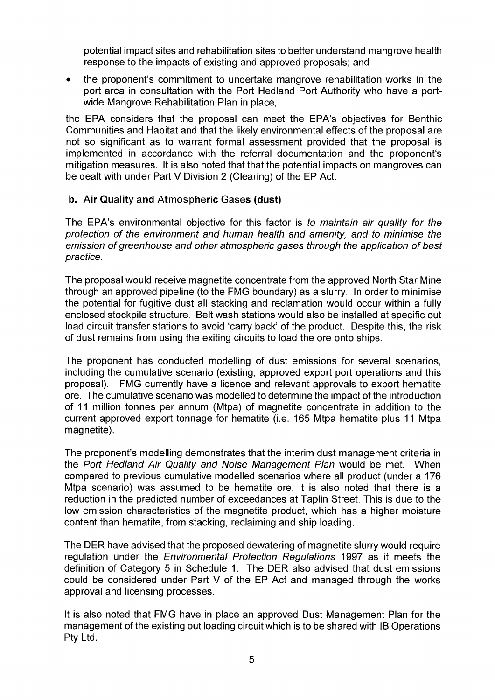potential impact sites and rehabilitation sites to better understand mangrove health response to the impacts of existing and approved proposals; and

• the proponent's commitment to undertake mangrove rehabilitation works in the port area in consultation with the Port Hedland Port Authority who have a portwide Mangrove Rehabilitation Plan in place,

the EPA considers that the proposal can meet the EPA's objectives for Benthic Communities and Habitat and that the likely environmental effects of the proposal are not so significant as to warrant formal assessment provided that the proposal is implemented in accordance with the referral documentation and the proponent's mitigation measures. It is also noted that that the potential impacts on mangroves can be dealt with under Part V Division 2 (Clearing) of the EP Act.

### **b. Air Quality and Atmospheric Gases (dust)**

The EPA's environmental objective for this factor is *to maintain air quality for the protection of the environment and human health and amenity, and to minimise the emission of greenhouse and other atmospheric gases through the application of best practice.* 

The proposal would receive magnetite concentrate from the approved North Star Mine through an approved pipeline (to the FMG boundary) as a slurry. In order to minimise the potential for fugitive dust all stacking and reclamation would occur within a fully enclosed stockpile structure. Belt wash stations would also be installed at specific out load circuit transfer stations to avoid 'carry back' of the product. Despite this, the risk of dust remains from using the exiting circuits to load the ore onto ships.

The proponent has conducted modelling of dust emissions for several scenarios, including the cumulative scenario (existing, approved export port operations and this proposal). FMG currently have a licence and relevant approvals to export hematite ore. The cumulative scenario was modelled to determine the impact of the introduction of 11 million tonnes per annum (Mtpa) of magnetite concentrate in addition to the current approved export tonnage for hematite (i.e. 165 Mtpa hematite plus 11 Mtpa magnetite).

The proponent's modelling demonstrates that the interim dust management criteria in the *Port Hedland Air Quality and Noise Management Plan* would be met. When compared to previous cumulative modelled scenarios where all product (under a 176 Mtpa scenario) was assumed to be hematite ore, it is also noted that there is a reduction in the predicted number of exceedances at Taplin Street. This is due to the low emission characteristics of the magnetite product, which has a higher moisture content than hematite, from stacking, reclaiming and ship loading.

The DER have advised that the proposed dewatering of magnetite slurry would require regulation under the *Environmental Protection Regulations* 1997 as it meets the definition of Category 5 in Schedule 1. The DER also advised that dust emissions could be considered under Part V of the EP Act and managed through the works approval and licensing processes.

It is also noted that FMG have in place an approved Dust Management Plan for the management of the existing out loading circuit which is to be shared with IB Operations Pty Ltd.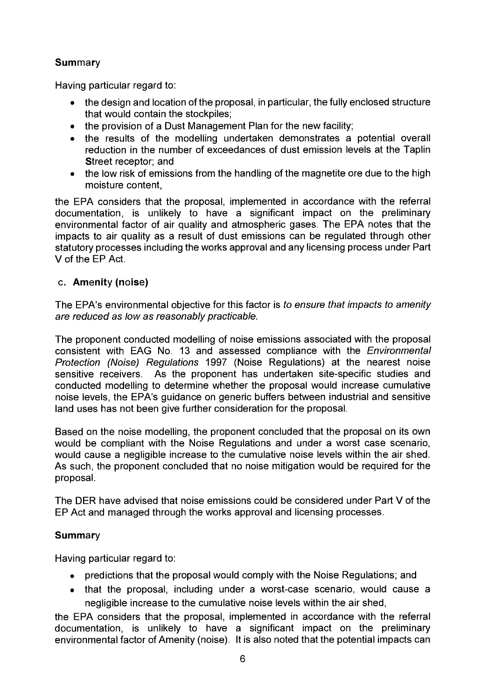## **Summary**

Having particular regard to:

- the design and location of the proposal, in particular, the fully enclosed structure that would contain the stockpiles;
- the provision of a Dust Management Plan for the new facility;
- the results of the modelling undertaken demonstrates a potential overall reduction in the number of exceedances of dust emission levels at the Taplin Street receptor; and
- the low risk of emissions from the handling of the magnetite ore due to the high moisture content,

the EPA considers that the proposal, implemented in accordance with the referral documentation, is unlikely to have a significant impact on the preliminary environmental factor of air quality and atmospheric gases. The EPA notes that the impacts to air quality as a result of dust emissions can be regulated through other statutory processes including the works approval and any licensing process under Part V of the EP Act.

## **c. Amenity (noise)**

The EPA's environmental objective for this factor is *to ensure that impacts to amenity are reduced as low as reasonably practicable.* 

The proponent conducted modelling of noise emissions associated with the proposal consistent with EAG No. 13 and assessed compliance with the *Environmental Protection (Noise) Regulations* 1997 (Noise Regulations) at the nearest noise sensitive receivers. As the proponent has undertaken site-specific studies and conducted modelling to determine whether the proposal would increase cumulative noise levels, the EPA's guidance on generic buffers between industrial and sensitive land uses has not been give further consideration for the proposal.

Based on the noise modelling, the proponent concluded that the proposal on its own would be compliant with the Noise Regulations and under a worst case scenario, would cause a negligible increase to the cumulative noise levels within the air shed. As such, the proponent concluded that no noise mitigation would be required for the proposal.

The DER have advised that noise emissions could be considered under Part V of the EP Act and managed through the works approval and licensing processes.

# **Summary**

Having particular regard to:

- predictions that the proposal would comply with the Noise Regulations; and
- that the proposal, including under a worst-case scenario, would cause a negligible increase to the cumulative noise levels within the air shed,

the EPA considers that the proposal, implemented in accordance with the referral documentation, is unlikely to have a significant impact on the preliminary environmental factor of Amenity (noise). It is also noted that the potential impacts can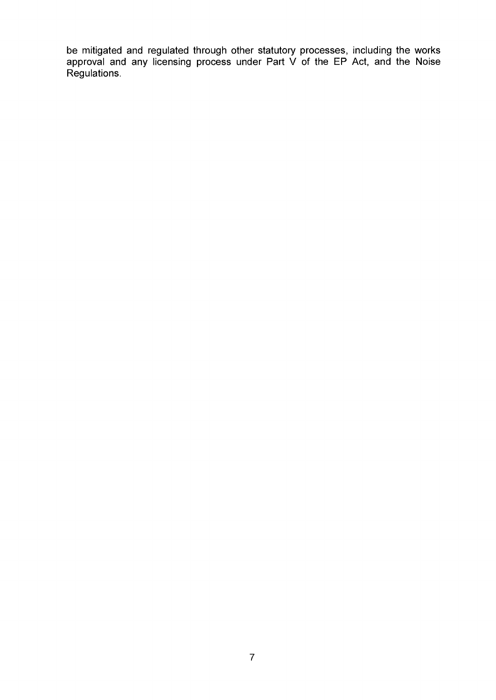be mitigated and regulated through other statutory processes, including the works approval and any licensing process under Part V of the EP Act, and the Noise Regulations.